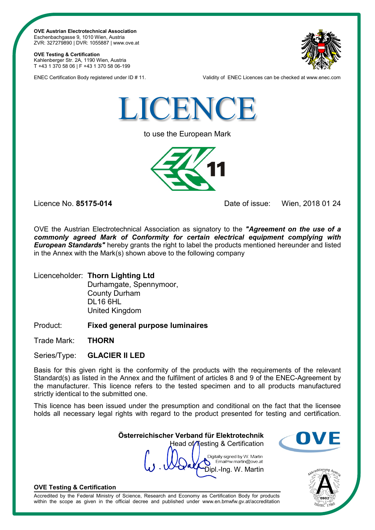**OVE Austrian Electrotechnical Association** Eschenbachgasse 9, 1010 Wien, Austria ZVR: 327279890 | DVR: 1055887 | www.ove.at

### **OVE Testing & Certification**

Kahlenberger Str. 2A, 1190 Wien, Austria T +43 1 370 58 06 | F +43 1 370 58 06-199



ENEC Certification Body registered under ID # 11. Validity of ENEC Licences can be checked at www.enec.com



to use the European Mark



Licence No. **85175-014** Date of issue: Wien, 2018 01 24

OVE the Austrian Electrotechnical Association as signatory to the *"Agreement on the use of a commonly agreed Mark of Conformity for certain electrical equipment complying with European Standards"* hereby grants the right to label the products mentioned hereunder and listed in the Annex with the Mark(s) shown above to the following company

Licenceholder: **Thorn Lighting Ltd** Durhamgate, Spennymoor, County Durham DL16 6HL United Kingdom

Product: **Fixed general purpose luminaires**

Trade Mark: **THORN**

Series/Type: **GLACIER II LED**

Basis for this given right is the conformity of the products with the requirements of the relevant Standard(s) as listed in the Annex and the fulfilment of articles 8 and 9 of the ENEC-Agreement by the manufacturer. This licence refers to the tested specimen and to all products manufactured strictly identical to the submitted one.

This licence has been issued under the presumption and conditional on the fact that the licensee holds all necessary legal rights with regard to the product presented for testing and certification.

> **Österreichischer Verband für Elektrotechnik** Head of Testing & Certification

Digitally signed by W. Martin Email=w.martin@ove.at Dipl.-Ing. W. Martin





## **OVE Testing & Certification**

Accredited by the Federal Ministry of Science, Research and Economy as Certification Body for products within the scope as given in the official decree and published under www.en.bmwfw.gv.at/accreditation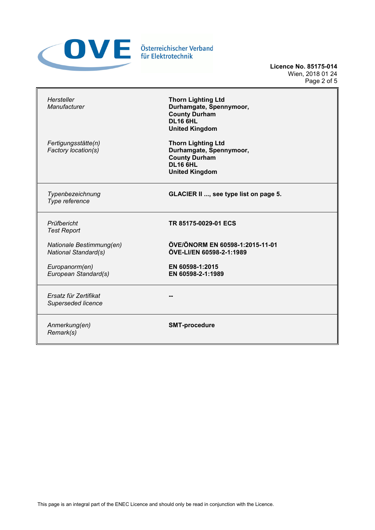

**Licence No. 85175-014** Wien, 2018 01 24 Page 2 of 5

| Hersteller<br><b>Manufacturer</b>                       | <b>Thorn Lighting Ltd</b><br>Durhamgate, Spennymoor,<br><b>County Durham</b><br><b>DL16 6HL</b><br><b>United Kingdom</b> |
|---------------------------------------------------------|--------------------------------------------------------------------------------------------------------------------------|
| Fertigungsstätte(n)<br>Factory location(s)              | <b>Thorn Lighting Ltd</b><br>Durhamgate, Spennymoor,<br><b>County Durham</b><br><b>DL16 6HL</b><br><b>United Kingdom</b> |
| Typenbezeichnung<br>Type reference                      | <b>GLACIER II , see type list on page 5.</b>                                                                             |
| Prüfbericht<br><b>Test Report</b>                       | TR 85175-0029-01 ECS                                                                                                     |
| Nationale Bestimmung(en)<br><b>National Standard(s)</b> | ÖVE/ÖNORM EN 60598-1:2015-11-01<br>ÖVE-LI/EN 60598-2-1:1989                                                              |
| Europanorm(en)<br>European Standard(s)                  | EN 60598-1:2015<br>EN 60598-2-1:1989                                                                                     |
| Ersatz für Zertifikat<br>Superseded licence             |                                                                                                                          |
| Anmerkung(en)<br>Remark(s)                              | <b>SMT-procedure</b>                                                                                                     |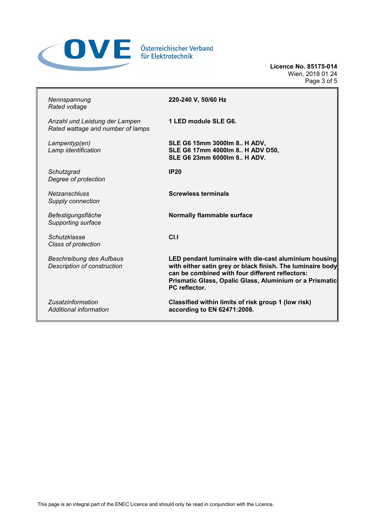

**Licence No. 85175-014** Wien, 2018 01 24 Page 3 of 5

| Nennspannung<br>Rated voltage                                         | 220-240 V, 50/60 Hz                                                                                                                                                                                                                                |
|-----------------------------------------------------------------------|----------------------------------------------------------------------------------------------------------------------------------------------------------------------------------------------------------------------------------------------------|
| Anzahl und Leistung der Lampen<br>Rated wattage and number of lamps   | 1 LED module SLE G6.                                                                                                                                                                                                                               |
| Lampentyp(en)<br>Lamp identification                                  | SLE G6 15mm 3000lm 8 H ADV,<br>SLE G6 17mm 4000lm 8 H ADV D50,<br>SLE G6 23mm 6000lm 8 H ADV.                                                                                                                                                      |
| Schutzgrad<br>Degree of protection                                    | IP20                                                                                                                                                                                                                                               |
| <b>Netzanschluss</b><br>Supply connection                             | <b>Screwless terminals</b>                                                                                                                                                                                                                         |
| Befestigungsfläche<br>Supporting surface                              | <b>Normally flammable surface</b>                                                                                                                                                                                                                  |
| Schutzklasse<br>Class of protection                                   | CLI                                                                                                                                                                                                                                                |
| <b>Beschreibung des Aufbaus</b><br><b>Description of construction</b> | LED pendant luminaire with die-cast aluminium housing<br>with either satin grey or black finish. The luminaire body<br>can be combined with four different reflectors:<br>Prismatic Glass, Opalic Glass, Aluminium or a Prismatic<br>PC reflector. |
| Zusatzinformation<br>Additional information                           | Classified within limits of risk group 1 (low risk)<br>according to EN 62471:2008.                                                                                                                                                                 |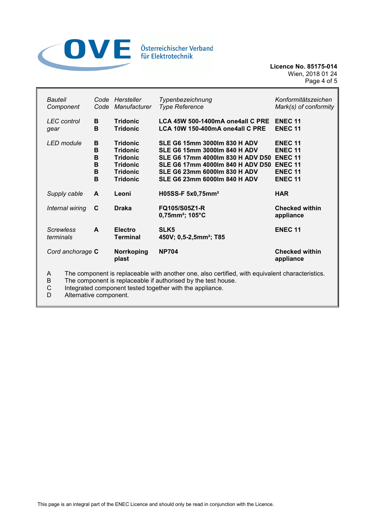

**Licence No. 85175-014** Wien, 2018 01 24 Page 4 of 5

| Bauteil<br>Component                                                                       | Code                       | Code Hersteller<br>Manufacturer                                                                                | Typenbezeichnung<br><b>Type Reference</b>                                                                                                                                                                                        | Konformitätszeichen<br>Mark(s) of conformity                                                             |
|--------------------------------------------------------------------------------------------|----------------------------|----------------------------------------------------------------------------------------------------------------|----------------------------------------------------------------------------------------------------------------------------------------------------------------------------------------------------------------------------------|----------------------------------------------------------------------------------------------------------|
| <b>LEC</b> control<br>gear                                                                 | В<br>в                     | <b>Tridonic</b><br><b>Tridonic</b>                                                                             | LCA 45W 500-1400mA one4all C PRE<br>LCA 10W 150-400mA one4all C PRE                                                                                                                                                              | <b>ENEC 11</b><br><b>ENEC 11</b>                                                                         |
| LED module                                                                                 | в<br>B<br>B<br>в<br>B<br>в | <b>Tridonic</b><br><b>Tridonic</b><br><b>Tridonic</b><br><b>Tridonic</b><br><b>Tridonic</b><br><b>Tridonic</b> | <b>SLE G6 15mm 3000lm 830 H ADV</b><br><b>SLE G6 15mm 3000lm 840 H ADV</b><br>SLE G6 17mm 4000lm 830 H ADV D50<br>SLE G6 17mm 4000lm 840 H ADV D50<br><b>SLE G6 23mm 6000lm 830 H ADV</b><br><b>SLE G6 23mm 6000lm 840 H ADV</b> | <b>ENEC 11</b><br><b>ENEC 11</b><br><b>ENEC 11</b><br><b>ENEC 11</b><br><b>ENEC 11</b><br><b>ENEC 11</b> |
| Supply cable                                                                               | A                          | Leoni                                                                                                          | H05SS-F 5x0,75mm <sup>2</sup>                                                                                                                                                                                                    | <b>HAR</b>                                                                                               |
| Internal wiring                                                                            | C                          | <b>Draka</b>                                                                                                   | FQ105/S05Z1-R<br>$0,75$ mm <sup>2</sup> ; 105°C                                                                                                                                                                                  | <b>Checked within</b><br>appliance                                                                       |
| <b>Screwless</b><br>terminals                                                              | A                          | <b>Electro</b><br>Terminal                                                                                     | SLK5<br>450V; 0,5-2,5mm <sup>2</sup> ; T85                                                                                                                                                                                       | <b>ENEC 11</b>                                                                                           |
| Cord anchorage C                                                                           |                            | Norrkoping<br>plast                                                                                            | <b>NP704</b>                                                                                                                                                                                                                     | <b>Checked within</b><br>appliance                                                                       |
| The companent is replaced by with another and also setting with equivalent characteristics |                            |                                                                                                                |                                                                                                                                                                                                                                  |                                                                                                          |

A The component is replaceable with another one, also certified, with equivalent characteristics.<br>B The component is replaceable if authorised by the test house.

B The component is replaceable if authorised by the test house.<br>C Integrated component tested together with the appliance.<br>D Alternative component.

Integrated component tested together with the appliance.

Alternative component.